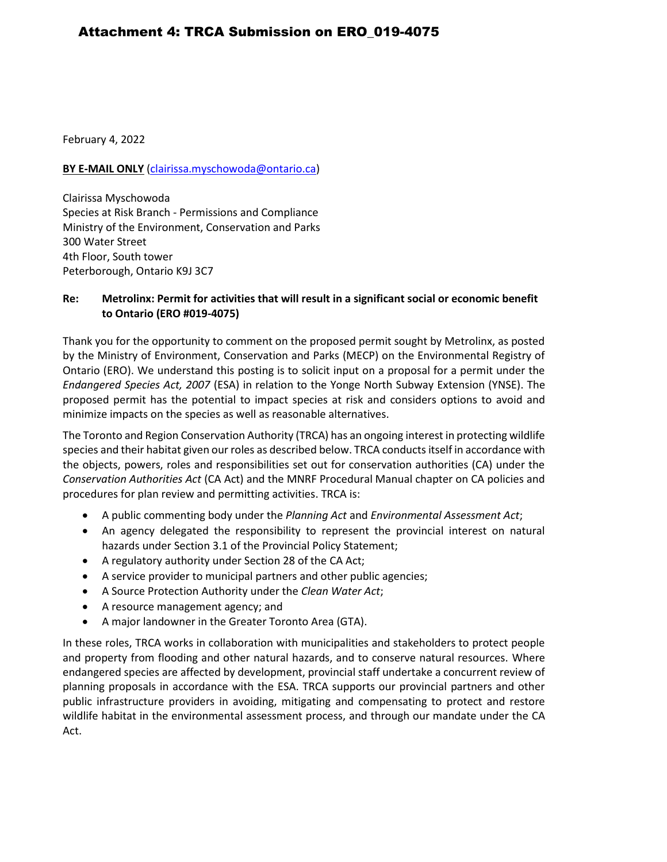February 4, 2022

### **BY E-MAIL ONLY** [\(clairissa.myschowoda@ontario.ca\)](mailto:clairissa.myschowoda@ontario.ca)

Clairissa Myschowoda Species at Risk Branch - Permissions and Compliance Ministry of the Environment, Conservation and Parks 300 Water Street 4th Floor, South tower Peterborough, Ontario K9J 3C7

### **Re: Metrolinx: Permit for activities that will result in a significant social or economic benefit to Ontario (ERO #019-4075)**

Thank you for the opportunity to comment on the proposed permit sought by Metrolinx, as posted by the Ministry of Environment, Conservation and Parks (MECP) on the Environmental Registry of Ontario (ERO). We understand this posting is to solicit input on a proposal for a permit under the *Endangered Species Act, 2007* (ESA) in relation to the Yonge North Subway Extension (YNSE). The proposed permit has the potential to impact species at risk and considers options to avoid and minimize impacts on the species as well as reasonable alternatives.

The Toronto and Region Conservation Authority (TRCA) has an ongoing interest in protecting wildlife species and their habitat given our roles as described below. TRCA conducts itself in accordance with the objects, powers, roles and responsibilities set out for conservation authorities (CA) under the *Conservation Authorities Act* (CA Act) and the MNRF Procedural Manual chapter on CA policies and procedures for plan review and permitting activities. TRCA is:

- A public commenting body under the *Planning Act* and *Environmental Assessment Act*;
- An agency delegated the responsibility to represent the provincial interest on natural hazards under Section 3.1 of the Provincial Policy Statement;
- A regulatory authority under Section 28 of the CA Act;
- A service provider to municipal partners and other public agencies;
- A Source Protection Authority under the *Clean Water Act*;
- A resource management agency; and
- A major landowner in the Greater Toronto Area (GTA).

In these roles, TRCA works in collaboration with municipalities and stakeholders to protect people and property from flooding and other natural hazards, and to conserve natural resources. Where endangered species are affected by development, provincial staff undertake a concurrent review of planning proposals in accordance with the ESA. TRCA supports our provincial partners and other public infrastructure providers in avoiding, mitigating and compensating to protect and restore wildlife habitat in the environmental assessment process, and through our mandate under the CA Act.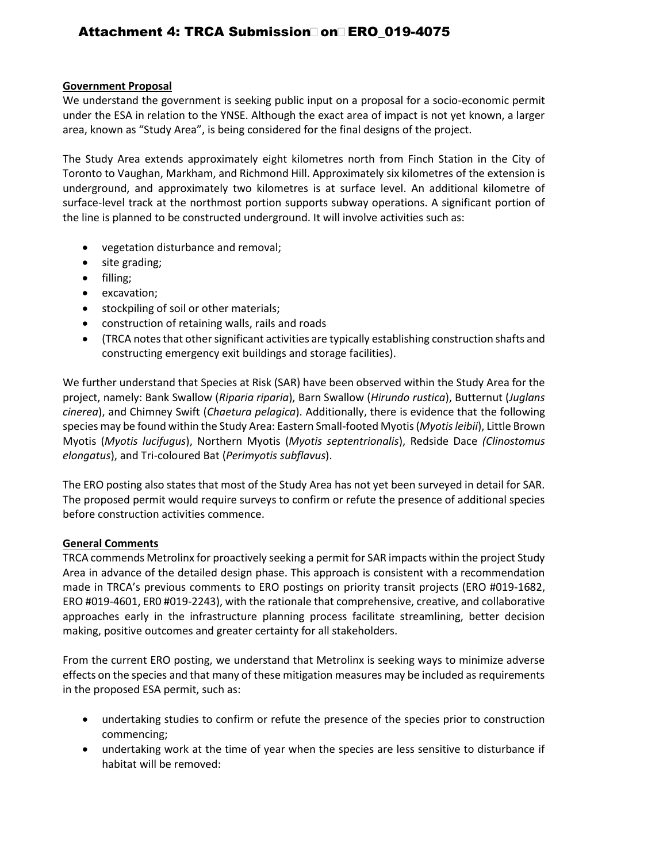# Attachment 4: TRCA Submission on ERO\_019-4075

#### **Government Proposal**

We understand the government is seeking public input on a proposal for a socio-economic permit under the ESA in relation to the YNSE. Although the exact area of impact is not yet known, a larger area, known as "Study Area", is being considered for the final designs of the project.

The Study Area extends approximately eight kilometres north from Finch Station in the City of Toronto to Vaughan, Markham, and Richmond Hill. Approximately six kilometres of the extension is underground, and approximately two kilometres is at surface level. An additional kilometre of surface-level track at the northmost portion supports subway operations. A significant portion of the line is planned to be constructed underground. It will involve activities such as:

- vegetation disturbance and removal;
- site grading;
- filling;
- excavation;
- stockpiling of soil or other materials;
- construction of retaining walls, rails and roads
- (TRCA notes that other significant activities are typically establishing construction shafts and constructing emergency exit buildings and storage facilities).

We further understand that Species at Risk (SAR) have been observed within the Study Area for the project, namely: Bank Swallow (*Riparia riparia*), Barn Swallow (*Hirundo rustica*), Butternut (*Juglans cinerea*), and Chimney Swift (*Chaetura pelagica*). Additionally, there is evidence that the following species may be found within the Study Area: Eastern Small-footed Myotis (*Myotis leibii*), Little Brown Myotis (*Myotis lucifugus*), Northern Myotis (*Myotis septentrionalis*), Redside Dace *(Clinostomus elongatus*), and Tri-coloured Bat (*Perimyotis subflavus*).

The ERO posting also states that most of the Study Area has not yet been surveyed in detail for SAR. The proposed permit would require surveys to confirm or refute the presence of additional species before construction activities commence.

#### **General Comments**

TRCA commends Metrolinx for proactively seeking a permit for SAR impacts within the project Study Area in advance of the detailed design phase. This approach is consistent with a recommendation made in TRCA's previous comments to ERO postings on priority transit projects (ERO #019-1682, ERO #019-4601, ER0 #019-2243), with the rationale that comprehensive, creative, and collaborative approaches early in the infrastructure planning process facilitate streamlining, better decision making, positive outcomes and greater certainty for all stakeholders.

From the current ERO posting, we understand that Metrolinx is seeking ways to minimize adverse effects on the species and that many of these mitigation measures may be included as requirements in the proposed ESA permit, such as:

- undertaking studies to confirm or refute the presence of the species prior to construction commencing;
- undertaking work at the time of year when the species are less sensitive to disturbance if habitat will be removed: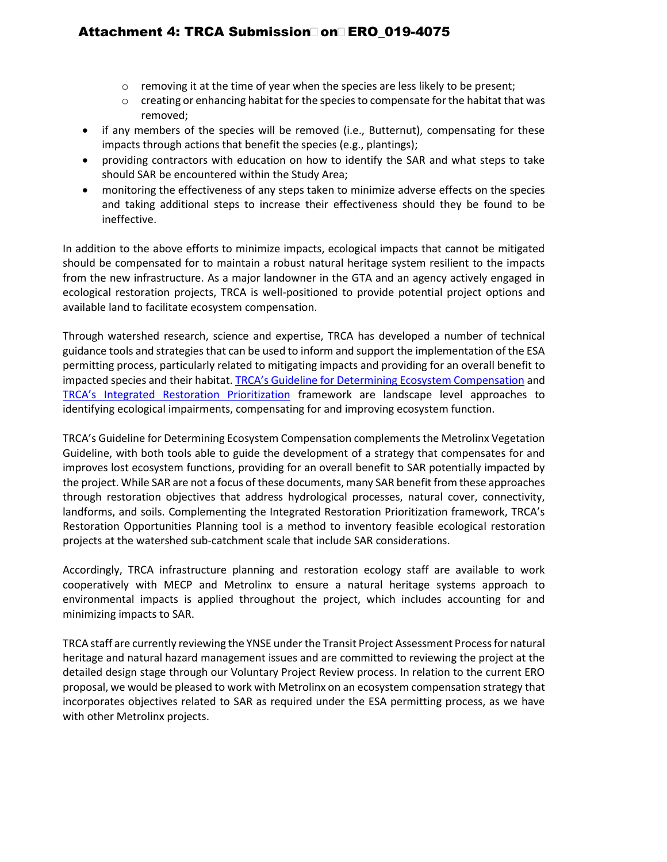# Attachment 4: TRCA Submission on ERO\_019-4075

- $\circ$  removing it at the time of year when the species are less likely to be present;
- o creating or enhancing habitat for the species to compensate for the habitat that was removed;
- if any members of the species will be removed (i.e., Butternut), compensating for these impacts through actions that benefit the species (e.g., plantings);
- providing contractors with education on how to identify the SAR and what steps to take should SAR be encountered within the Study Area;
- monitoring the effectiveness of any steps taken to minimize adverse effects on the species and taking additional steps to increase their effectiveness should they be found to be ineffective.

In addition to the above efforts to minimize impacts, ecological impacts that cannot be mitigated should be compensated for to maintain a robust natural heritage system resilient to the impacts from the new infrastructure. As a major landowner in the GTA and an agency actively engaged in ecological restoration projects, TRCA is well-positioned to provide potential project options and available land to facilitate ecosystem compensation.

Through watershed research, science and expertise, TRCA has developed a number of technical guidance tools and strategies that can be used to inform and support the implementation of the ESA permitting process, particularly related to mitigating impacts and providing for an overall benefit to impacted species and their habitat. [TRCA's Guideline for Determining Ecosystem Compensation](https://s3-ca-central-1.amazonaws.com/trcaca/app/uploads/2019/11/27105627/TRCA-Guideline-for-Determining-Ecosystem-Compensation-June-2018_v2.pdf) and [TRCA's Integrated Restoration Prioritization](https://trcaca.s3.ca-central-1.amazonaws.com/app/uploads/2016/12/17173040/2894_TRCA_IntegratedRestorationPrioritizationReport2015_Feb2016-FA-singlepgs-WEB-Mar3.pdf) framework are landscape level approaches to identifying ecological impairments, compensating for and improving ecosystem function.

TRCA's Guideline for Determining Ecosystem Compensation complements the Metrolinx Vegetation Guideline, with both tools able to guide the development of a strategy that compensates for and improves lost ecosystem functions, providing for an overall benefit to SAR potentially impacted by the project. While SAR are not a focus of these documents, many SAR benefit from these approaches through restoration objectives that address hydrological processes, natural cover, connectivity, landforms, and soils. Complementing the Integrated Restoration Prioritization framework, TRCA's Restoration Opportunities Planning tool is a method to inventory feasible ecological restoration projects at the watershed sub-catchment scale that include SAR considerations.

Accordingly, TRCA infrastructure planning and restoration ecology staff are available to work cooperatively with MECP and Metrolinx to ensure a natural heritage systems approach to environmental impacts is applied throughout the project, which includes accounting for and minimizing impacts to SAR.

TRCA staff are currently reviewing the YNSE under the Transit Project Assessment Process for natural heritage and natural hazard management issues and are committed to reviewing the project at the detailed design stage through our Voluntary Project Review process. In relation to the current ERO proposal, we would be pleased to work with Metrolinx on an ecosystem compensation strategy that incorporates objectives related to SAR as required under the ESA permitting process, as we have with other Metrolinx projects.